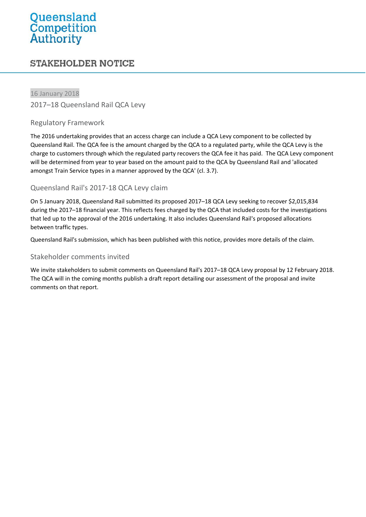# Queensland **Competition**<br>**Authority**

# **STAKEHOLDER NOTICE**

16 January 2018 2017–18 Queensland Rail QCA Levy

## Regulatory Framework

The 2016 undertaking provides that an access charge can include a QCA Levy component to be collected by Queensland Rail. The QCA fee is the amount charged by the QCA to a regulated party, while the QCA Levy is the charge to customers through which the regulated party recovers the QCA fee it has paid. The QCA Levy component will be determined from year to year based on the amount paid to the QCA by Queensland Rail and 'allocated amongst Train Service types in a manner approved by the QCA' (cl. 3.7).

## Queensland Rail's 2017-18 QCA Levy claim

On 5 January 2018, Queensland Rail submitted its proposed 2017–18 QCA Levy seeking to recover \$2,015,834 during the 2017–18 financial year. This reflects fees charged by the QCA that included costs for the investigations that led up to the approval of the 2016 undertaking. It also includes Queensland Rail's proposed allocations between traffic types.

Queensland Rail's submission, which has been published with this notice, provides more details of the claim.

#### Stakeholder comments invited

We invite stakeholders to submit comments on Queensland Rail's 2017–18 QCA Levy proposal by 12 February 2018. The QCA will in the coming months publish a draft report detailing our assessment of the proposal and invite comments on that report.